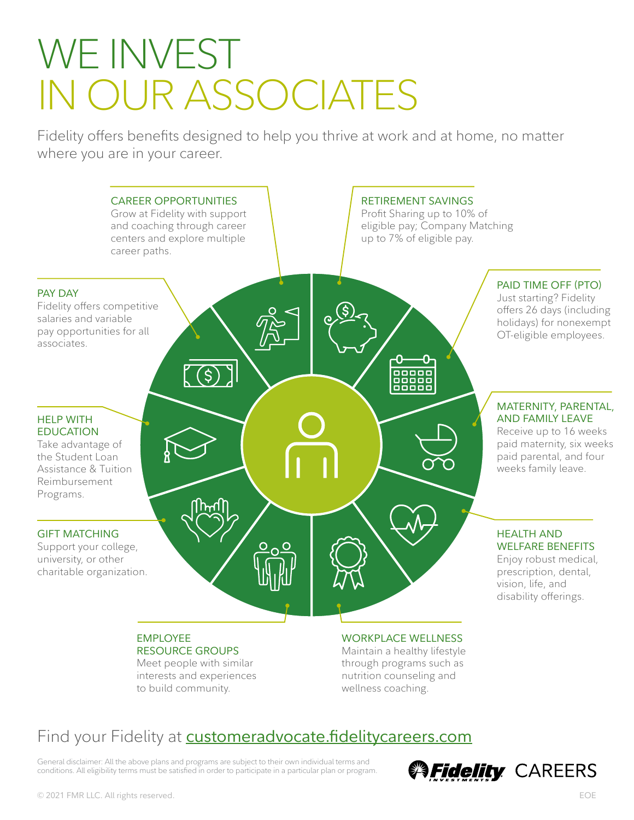# WE INVEST IN OUR ASSOCIATES

Fidelity offers benefits designed to help you thrive at work and at home, no matter where you are in your career.



### Find your Fidelity at **<customeradvocate.fidelitycareers.com>**

General disclaimer: All the above plans and programs are subject to their own individual terms and conditions. All eligibility terms must be satisfied in order to participate in a particular plan or program.